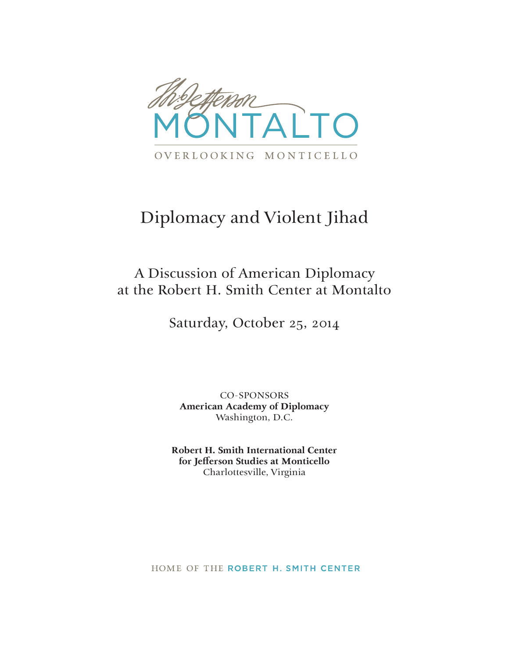

## Diplomacy and Violent Jihad

### A Discussion of American Diplomacy at the Robert H. Smith Center at Montalto

Saturday, October 25, 2014

CO-SPONSORS **American Academy of Diplomacy** Washington, D.C.

**Robert H. Smith International Center for Jeƒ erson Studies at Monticello** Charlottesville, Virginia

HOME OF THE ROBERT H. SMITH CENTER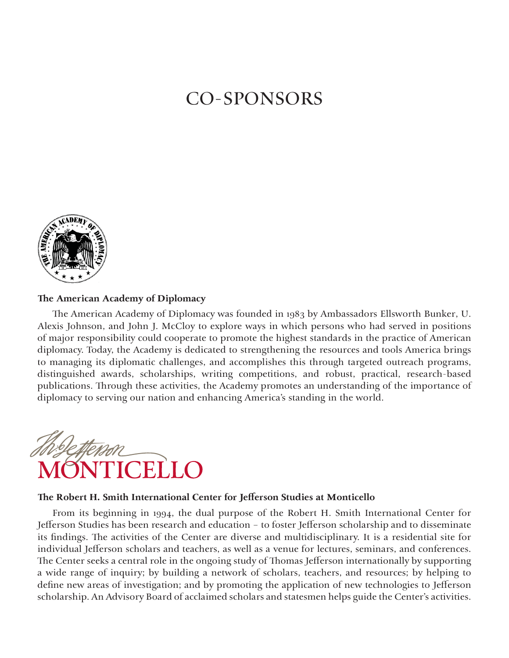### **CO-SPONSORS**



#### The American Academy of Diplomacy

The American Academy of Diplomacy was founded in 1983 by Ambassadors Ellsworth Bunker, U. Alexis Johnson, and John J. McCloy to explore ways in which persons who had served in positions of major responsibility could cooperate to promote the highest standards in the practice of American diplomacy. Today, the Academy is dedicated to strengthening the resources and tools America brings to managing its diplomatic challenges, and accomplishes this through targeted outreach programs, distinguished awards, scholarships, writing competitions, and robust, practical, research-based publications. Through these activities, the Academy promotes an understanding of the importance of diplomacy to serving our nation and enhancing America's standing in the world.



#### The Robert H. Smith International Center for Jefferson Studies at Monticello

From its beginning in 1994, the dual purpose of the Robert H. Smith International Center for Jefferson Studies has been research and education - to foster Jefferson scholarship and to disseminate its findings. The activities of the Center are diverse and multidisciplinary. It is a residential site for individual Jefferson scholars and teachers, as well as a venue for lectures, seminars, and conferences. The Center seeks a central role in the ongoing study of Thomas Jefferson internationally by supporting a wide range of inquiry; by building a network of scholars, teachers, and resources; by helping to define new areas of investigation; and by promoting the application of new technologies to Jefferson scholarship. An Advisory Board of acclaimed scholars and statesmen helps guide the Center's activities.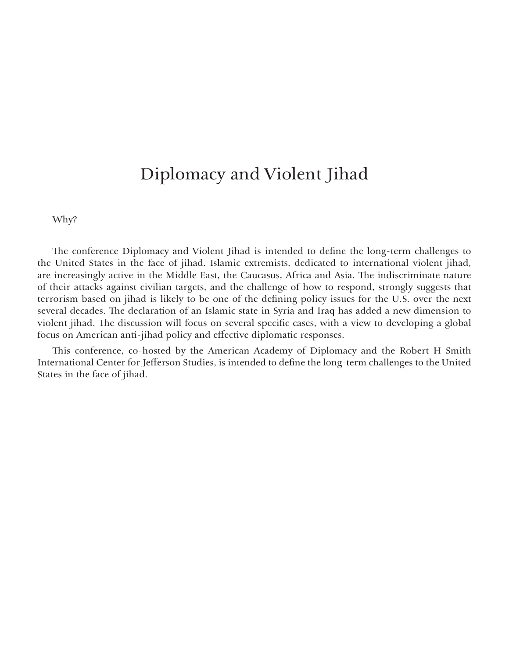### Diplomacy and Violent Jihad

Why?

The conference Diplomacy and Violent Jihad is intended to define the long-term challenges to the United States in the face of jihad. Islamic extremists, dedicated to international violent jihad, are increasingly active in the Middle East, the Caucasus, Africa and Asia. The indiscriminate nature of their attacks against civilian targets, and the challenge of how to respond, strongly suggests that terrorism based on jihad is likely to be one of the defining policy issues for the U.S. over the next several decades. The declaration of an Islamic state in Syria and Iraq has added a new dimension to violent jihad. The discussion will focus on several specific cases, with a view to developing a global focus on American anti-jihad policy and effective diplomatic responses.

This conference, co-hosted by the American Academy of Diplomacy and the Robert H Smith International Center for Jefferson Studies, is intended to define the long-term challenges to the United States in the face of jihad.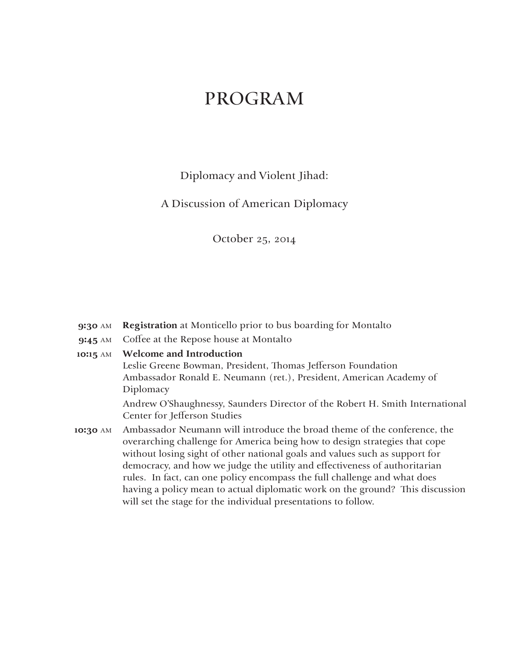### PROGRAM

Diplomacy and Violent Jihad:

A Discussion of American Diplomacy

October 25, 2014

- **9:30** AM **Registration** at Monticello prior to bus boarding for Montalto
- **9:45** AM Coffee at the Repose house at Montalto
- **10:15** AM **Welcome and Introduction** Leslie Greene Bowman, President, Thomas Jefferson Foundation

Ambassador Ronald E. Neumann (ret.), President, American Academy of Diplomacy

Andrew O'Shaughnessy, Saunders Director of the Robert H. Smith International Center for Jefferson Studies

**10:30** AM Ambassador Neumann will introduce the broad theme of the conference, the overarching challenge for America being how to design strategies that cope without losing sight of other national goals and values such as support for democracy, and how we judge the utility and effectiveness of authoritarian rules. In fact, can one policy encompass the full challenge and what does having a policy mean to actual diplomatic work on the ground? This discussion will set the stage for the individual presentations to follow.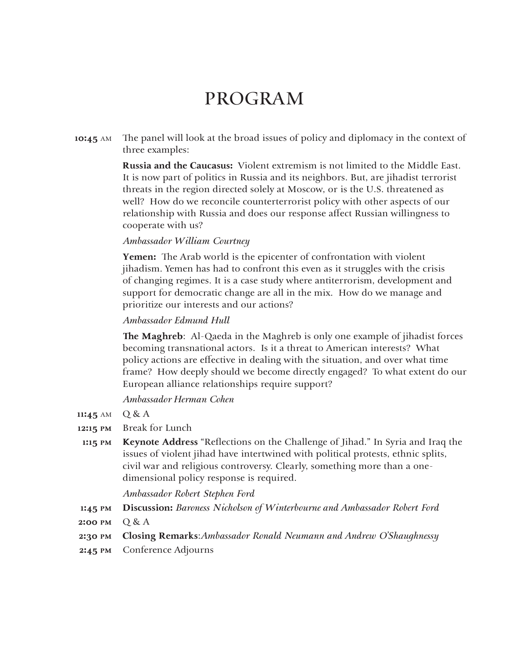### PROGRAM

**10:45** AM The panel will look at the broad issues of policy and diplomacy in the context of three examples:

> **Russia and the Caucasus:** Violent extremism is not limited to the Middle East. It is now part of politics in Russia and its neighbors. But, are jihadist terrorist threats in the region directed solely at Moscow, or is the U.S. threatened as well? How do we reconcile counterterrorist policy with other aspects of our relationship with Russia and does our response affect Russian willingness to cooperate with us?

#### *Ambassador William Courtney*

**Yemen:** The Arab world is the epicenter of confrontation with violent jihadism. Yemen has had to confront this even as it struggles with the crisis of changing regimes. It is a case study where antiterrorism, development and support for democratic change are all in the mix. How do we manage and prioritize our interests and our actions?

#### *Ambassador Edmund Hull*

**The Maghreb**: Al-Qaeda in the Maghreb is only one example of jihadist forces becoming transnational actors. Is it a threat to American interests? What policy actions are effective in dealing with the situation, and over what time frame? How deeply should we become directly engaged? To what extent do our European alliance relationships require support?

*Ambassador Herman Cohen*

- **11:45** AM  $Q & A$
- **12:15 PM** Break for Lunch
- **1:15 PM Keynote Address** "Reflections on the Challenge of Jihad." In Syria and Iraq the issues of violent jihad have intertwined with political protests, ethnic splits, civil war and religious controversy. Clearly, something more than a onedimensional policy response is required.

*Ambassador Robert Stephen Ford*

- **1:45 PM Discussion:** *Baroness Nicholson of Winterbourne and Ambassador Robert Ford*
- **2:00 PM** Q & A
- **2:30 PM Closing Remarks**:*Ambassador Ronald Neumann and Andrew O'Shaughnessy*
- **2:45 PM** Conference Adjourns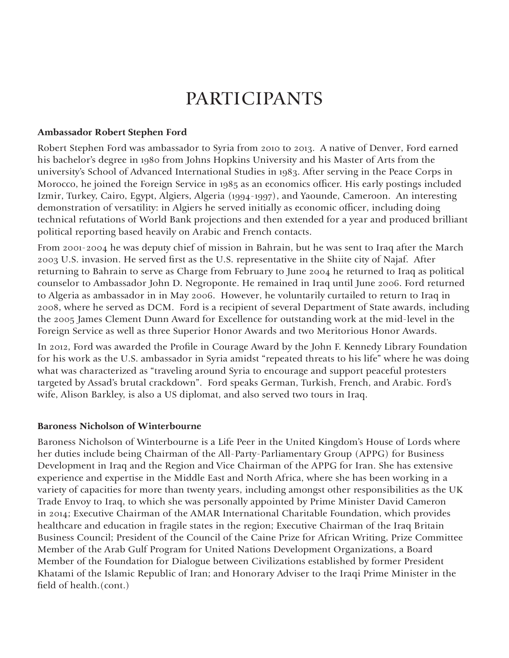#### **Ambassador Robert Stephen Ford**

Robert Stephen Ford was ambassador to Syria from 2010 to 2013. A native of Denver, Ford earned his bachelor's degree in 1980 from Johns Hopkins University and his Master of Arts from the university's School of Advanced International Studies in 1983. After serving in the Peace Corps in Morocco, he joined the Foreign Service in 1985 as an economics officer. His early postings included Izmir, Turkey, Cairo, Egypt, Algiers, Algeria (1994-1997), and Yaounde, Cameroon. An interesting demonstration of versatility: in Algiers he served initially as economic officer, including doing technical refutations of World Bank projections and then extended for a year and produced brilliant political reporting based heavily on Arabic and French contacts.

From 2001-2004 he was deputy chief of mission in Bahrain, but he was sent to Iraq after the March 2003 U.S. invasion. He served first as the U.S. representative in the Shiite city of Najaf. After returning to Bahrain to serve as Charge from February to June 2004 he returned to Iraq as political counselor to Ambassador John D. Negroponte. He remained in Iraq until June 2006. Ford returned to Algeria as ambassador in in May 2006. However, he voluntarily curtailed to return to Iraq in 2008, where he served as DCM. Ford is a recipient of several Department of State awards, including the 2005 James Clement Dunn Award for Excellence for outstanding work at the mid-level in the Foreign Service as well as three Superior Honor Awards and two Meritorious Honor Awards.

In 2012, Ford was awarded the Profile in Courage Award by the John F. Kennedy Library Foundation for his work as the U.S. ambassador in Syria amidst "repeated threats to his life" where he was doing what was characterized as "traveling around Syria to encourage and support peaceful protesters targeted by Assad's brutal crackdown". Ford speaks German, Turkish, French, and Arabic. Ford's wife, Alison Barkley, is also a US diplomat, and also served two tours in Iraq.

#### **Baroness Nicholson of Winterbourne**

Baroness Nicholson of Winterbourne is a Life Peer in the United Kingdom's House of Lords where her duties include being Chairman of the All-Party-Parliamentary Group (APPG) for Business Development in Iraq and the Region and Vice Chairman of the APPG for Iran. She has extensive experience and expertise in the Middle East and North Africa, where she has been working in a variety of capacities for more than twenty years, including amongst other responsibilities as the UK Trade Envoy to Iraq, to which she was personally appointed by Prime Minister David Cameron in 2014; Executive Chairman of the AMAR International Charitable Foundation, which provides healthcare and education in fragile states in the region; Executive Chairman of the Iraq Britain Business Council; President of the Council of the Caine Prize for African Writing, Prize Committee Member of the Arab Gulf Program for United Nations Development Organizations, a Board Member of the Foundation for Dialogue between Civilizations established by former President Khatami of the Islamic Republic of Iran; and Honorary Adviser to the Iraqi Prime Minister in the field of health.(cont.)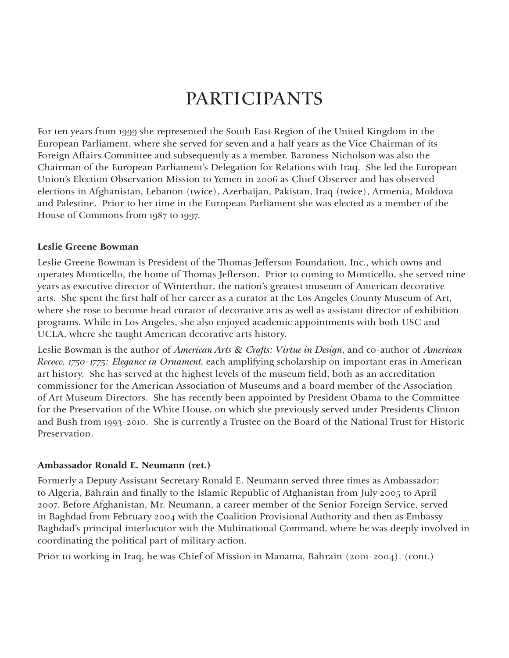For ten years from 1999 she represented the South East Region of the United Kingdom in the European Parliament, where she served for seven and a half years as the Vice Chairman of its Foreign Affairs Committee and subsequently as a member. Baroness Nicholson was also the Chairman of the European Parliament's Delegation for Relations with Iraq. She led the European Union's Election Observation Mission to Yemen in 2006 as Chief Observer and has observed elections in Afghanistan, Lebanon (twice), Azerbaijan, Pakistan, Iraq (twice), Armenia, Moldova and Palestine. Prior to her time in the European Parliament she was elected as a member of the House of Commons from 1987 to 1997.

#### **Leslie Greene Bowman**

Leslie Greene Bowman is President of the Thomas Jefferson Foundation, Inc., which owns and operates Monticello, the home of Thomas Jefferson. Prior to coming to Monticello, she served nine years as executive director of Winterthur, the nation's greatest museum of American decorative arts. She spent the first half of her career as a curator at the Los Angeles County Museum of Art, where she rose to become head curator of decorative arts as well as assistant director of exhibition programs. While in Los Angeles, she also enjoyed academic appointments with both USC and UCLA, where she taught American decorative arts history.

Leslie Bowman is the author of *American Arts & Crafts: Virtue in Design*, and co-author of *American Rococo, 1750-1775: Elegance in Ornament,* each amplifying scholarship on important eras in American art history. She has served at the highest levels of the museum field, both as an accreditation commissioner for the American Association of Museums and a board member of the Association of Art Museum Directors. She has recently been appointed by President Obama to the Committee for the Preservation of the White House, on which she previously served under Presidents Clinton and Bush from 1993-2010. She is currently a Trustee on the Board of the National Trust for Historic Preservation.

#### **Ambassador Ronald E. Neumann (ret.)**

Formerly a Deputy Assistant Secretary Ronald E. Neumann served three times as Ambassador; to Algeria, Bahrain and finally to the Islamic Republic of Afghanistan from July 2005 to April 2007. Before Afghanistan, Mr. Neumann, a career member of the Senior Foreign Service, served in Baghdad from February 2004 with the Coalition Provisional Authority and then as Embassy Baghdad's principal interlocutor with the Multinational Command, where he was deeply involved in coordinating the political part of military action.

Prior to working in Iraq, he was Chief of Mission in Manama, Bahrain (2001-2004). (cont.)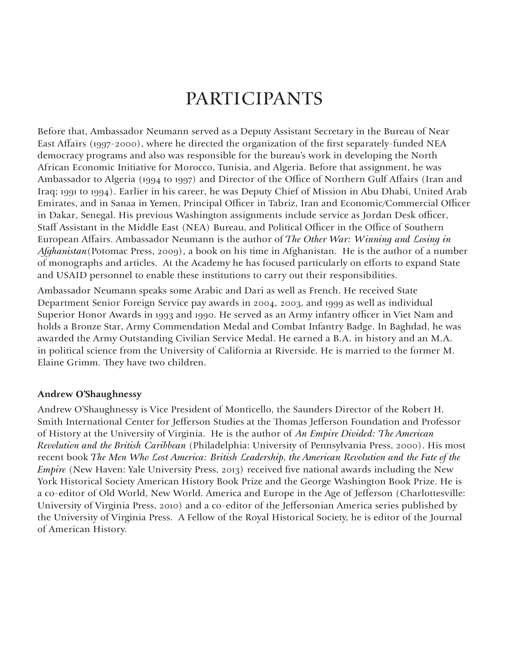Before that, Ambassador Neumann served as a Deputy Assistant Secretary in the Bureau of Near East Affairs (1997-2000), where he directed the organization of the first separately-funded NEA democracy programs and also was responsible for the bureau's work in developing the North African Economic Initiative for Morocco, Tunisia, and Algeria. Before that assignment, he was Ambassador to Algeria (1994 to 1997) and Director of the Office of Northern Gulf Affairs (Iran and Iraq; 1991 to 1994). Earlier in his career, he was Deputy Chief of Mission in Abu Dhabi, United Arab Emirates, and in Sanaa in Yemen, Principal Officer in Tabriz, Iran and Economic/Commercial Officer in Dakar, Senegal. His previous Washington assignments include service as Jordan Desk officer, Staff Assistant in the Middle East (NEA) Bureau, and Political Officer in the Office of Southern European Affairs. Ambassador Neumann is the author of *The Other War: Winning and Losing in Afghanistan*(Potomac Press, 2009), a book on his time in Afghanistan. He is the author of a number of monographs and articles. At the Academy he has focused particularly on efforts to expand State and USAID personnel to enable these institutions to carry out their responsibilities.

Ambassador Neumann speaks some Arabic and Dari as well as French. He received State Department Senior Foreign Service pay awards in 2004, 2003, and 1999 as well as individual Superior Honor Awards in 1993 and 1990. He served as an Army infantry officer in Viet Nam and holds a Bronze Star, Army Commendation Medal and Combat Infantry Badge. In Baghdad, he was awarded the Army Outstanding Civilian Service Medal. He earned a B.A. in history and an M.A. in political science from the University of California at Riverside. He is married to the former M. Elaine Grimm. They have two children.

#### **Andrew O'Shaughnessy**

Andrew O'Shaughnessy is Vice President of Monticello, the Saunders Director of the Robert H. Smith International Center for Jefferson Studies at the Thomas Jefferson Foundation and Professor of History at the University of Virginia. He is the author of *An Empire Divided: The American Revolution and the British Caribbean* (Philadelphia: University of Pennsylvania Press, 2000). His most recent book *The Men Who Lost America: British Leadership, the American Revolution and the Fate of the Empire* (New Haven: Yale University Press, 2013) received five national awards including the New York Historical Society American History Book Prize and the George Washington Book Prize. He is a co-editor of Old World, New World. America and Europe in the Age of Jefferson (Charlottesville: University of Virginia Press, 2010) and a co-editor of the Jeffersonian America series published by the University of Virginia Press. A Fellow of the Royal Historical Society, he is editor of the Journal of American History.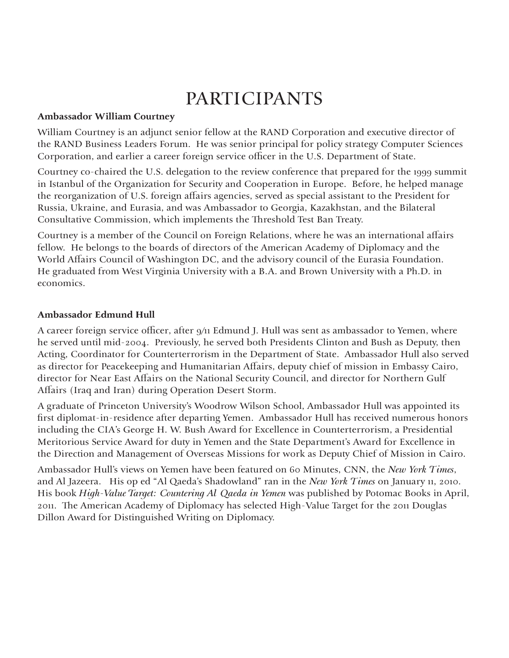#### **Ambassador William Courtney**

William Courtney is an adjunct senior fellow at the RAND Corporation and executive director of the RAND Business Leaders Forum. He was senior principal for policy strategy Computer Sciences Corporation, and earlier a career foreign service officer in the U.S. Department of State.

Courtney co-chaired the U.S. delegation to the review conference that prepared for the 1999 summit in Istanbul of the Organization for Security and Cooperation in Europe. Before, he helped manage the reorganization of U.S. foreign affairs agencies, served as special assistant to the President for Russia, Ukraine, and Eurasia, and was Ambassador to Georgia, Kazakhstan, and the Bilateral Consultative Commission, which implements the Threshold Test Ban Treaty.

Courtney is a member of the Council on Foreign Relations, where he was an international affairs fellow. He belongs to the boards of directors of the American Academy of Diplomacy and the World Affairs Council of Washington DC, and the advisory council of the Eurasia Foundation. He graduated from West Virginia University with a B.A. and Brown University with a Ph.D. in economics.

#### **Ambassador Edmund Hull**

A career foreign service officer, after 9/11 Edmund J. Hull was sent as ambassador to Yemen, where he served until mid-2004. Previously, he served both Presidents Clinton and Bush as Deputy, then Acting, Coordinator for Counterterrorism in the Department of State. Ambassador Hull also served as director for Peacekeeping and Humanitarian Affairs, deputy chief of mission in Embassy Cairo, director for Near East Affairs on the National Security Council, and director for Northern Gulf Affairs (Iraq and Iran) during Operation Desert Storm.

A graduate of Princeton University's Woodrow Wilson School, Ambassador Hull was appointed its first diplomat-in-residence after departing Yemen. Ambassador Hull has received numerous honors including the CIA's George H. W. Bush Award for Excellence in Counterterrorism, a Presidential Meritorious Service Award for duty in Yemen and the State Department's Award for Excellence in the Direction and Management of Overseas Missions for work as Deputy Chief of Mission in Cairo.

Ambassador Hull's views on Yemen have been featured on 60 Minutes, CNN, the *New York Times*, and Al Jazeera. His op ed "Al Qaeda's Shadowland" ran in the *New York Times* on January 11, 2010. His book *High-Value Target: Countering Al Qaeda in Yemen* was published by Potomac Books in April, 2011. The American Academy of Diplomacy has selected High-Value Target for the 2011 Douglas Dillon Award for Distinguished Writing on Diplomacy.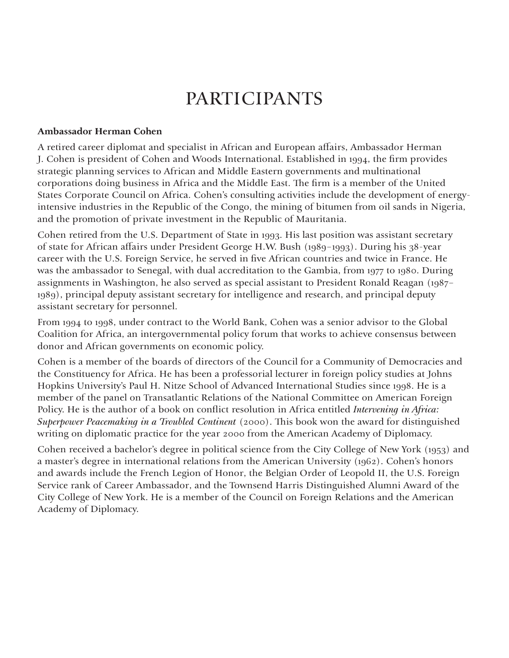#### **Ambassador Herman Cohen**

A retired career diplomat and specialist in African and European affairs, Ambassador Herman J. Cohen is president of Cohen and Woods International. Established in 1994, the firm provides strategic planning services to African and Middle Eastern governments and multinational corporations doing business in Africa and the Middle East. The firm is a member of the United States Corporate Council on Africa. Cohen's consulting activities include the development of energyintensive industries in the Republic of the Congo, the mining of bitumen from oil sands in Nigeria, and the promotion of private investment in the Republic of Mauritania.

Cohen retired from the U.S. Department of State in 1993. His last position was assistant secretary of state for African affairs under President George H.W. Bush (1989-1993). During his 38-year career with the U.S. Foreign Service, he served in five African countries and twice in France. He was the ambassador to Senegal, with dual accreditation to the Gambia, from 1977 to 1980. During assignments in Washington, he also served as special assistant to President Ronald Reagan (1987– 1989), principal deputy assistant secretary for intelligence and research, and principal deputy assistant secretary for personnel.

From 1994 to 1998, under contract to the World Bank, Cohen was a senior advisor to the Global Coalition for Africa, an intergovernmental policy forum that works to achieve consensus between donor and African governments on economic policy.

Cohen is a member of the boards of directors of the Council for a Community of Democracies and the Constituency for Africa. He has been a professorial lecturer in foreign policy studies at Johns Hopkins University's Paul H. Nitze School of Advanced International Studies since 1998. He is a member of the panel on Transatlantic Relations of the National Committee on American Foreign Policy. He is the author of a book on conflict resolution in Africa entitled *Intervening in Africa*: *Superpower Peacemaking in a Troubled Continent* (2000). This book won the award for distinguished writing on diplomatic practice for the year 2000 from the American Academy of Diplomacy.

Cohen received a bachelor's degree in political science from the City College of New York (1953) and a master's degree in international relations from the American University (1962). Cohen's honors and awards include the French Legion of Honor, the Belgian Order of Leopold II, the U.S. Foreign Service rank of Career Ambassador, and the Townsend Harris Distinguished Alumni Award of the City College of New York. He is a member of the Council on Foreign Relations and the American Academy of Diplomacy.